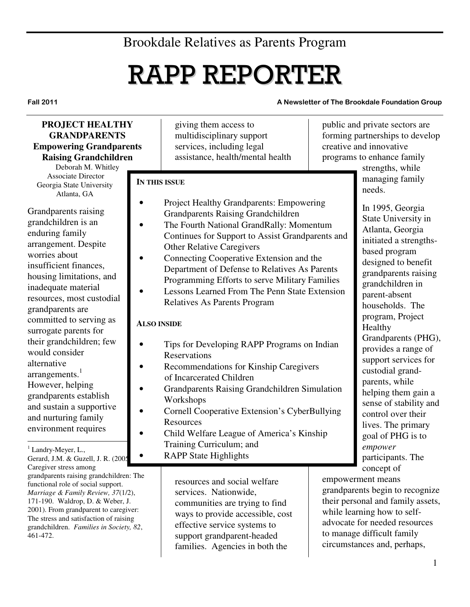## Brookdale Relatives as Parents Program

# RAPP REPORTER

Fall 2011 A Newsletter of The Brookdale Foundation Group

## **PROJECT HEALTHY GRANDPARENTS Empowering Grandparents Raising Grandchildren**

Deborah M. Whitley Associate Director Georgia State University Atlanta, GA

Grandparents raising grandchildren is an enduring family arrangement. Despite worries about insufficient finances, housing limitations, and inadequate material resources, most custodial grandparents are committed to serving as surrogate parents for their grandchildren; few would consider alternative arrangements.<sup>1</sup> However, helping grandparents establish and sustain a supportive and nurturing family environment requires

 $\overline{a}$ <sup>1</sup> Landry-Meyer, L.,

Gerard, J.M. & Guzell, J. R. (2005). Caregiver stress among grandparents raising grandchildren: The functional role of social support. *Marriage & Family Review, 37*(1/2), 171-190. Waldrop, D. & Weber, J. 2001). From grandparent to caregiver: The stress and satisfaction of raising grandchildren. *Families in Society, 82*, 461-472.

giving them access to multidisciplinary support services, including legal assistance, health/mental health

#### **IN THIS ISSUE**

- Project Healthy Grandparents: Empowering Grandparents Raising Grandchildren
- The Fourth National GrandRally: Momentum Continues for Support to Assist Grandparents and Other Relative Caregivers
- Connecting Cooperative Extension and the Department of Defense to Relatives As Parents Programming Efforts to serve Military Families
- Lessons Learned From The Penn State Extension Relatives As Parents Program

## **ALSO INSIDE**

- Tips for Developing RAPP Programs on Indian Reservations
- Recommendations for Kinship Caregivers of Incarcerated Children
- Grandparents Raising Grandchildren Simulation Workshops
- Cornell Cooperative Extension's CyberBullying Resources
- Child Welfare League of America's Kinship Training Curriculum; and
	- RAPP State Highlights

resources and social welfare services. Nationwide, communities are trying to find ways to provide accessible, cost effective service systems to support grandparent-headed families. Agencies in both the

public and private sectors are forming partnerships to develop creative and innovative programs to enhance family

> strengths, while managing family needs.

In 1995, Georgia State University in Atlanta, Georgia initiated a strengthsbased program designed to benefit grandparents raising grandchildren in parent-absent households. The program, Project Healthy Grandparents (PHG), provides a range of support services for custodial grandparents, while helping them gain a sense of stability and control over their lives. The primary goal of PHG is to *empower* participants. The concept of

empowerment means grandparents begin to recognize their personal and family assets, while learning how to selfadvocate for needed resources to manage difficult family circumstances and, perhaps,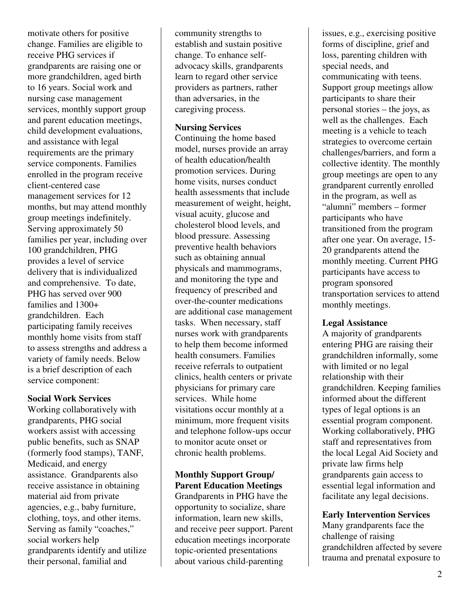motivate others for positive change. Families are eligible to receive PHG services if grandparents are raising one or more grandchildren, aged birth to 16 years. Social work and nursing case management services, monthly support group and parent education meetings, child development evaluations, and assistance with legal requirements are the primary service components. Families enrolled in the program receive client-centered case management services for 12 months, but may attend monthly group meetings indefinitely. Serving approximately 50 families per year, including over 100 grandchildren, PHG provides a level of service delivery that is individualized and comprehensive. To date, PHG has served over 900 families and 1300+ grandchildren. Each participating family receives monthly home visits from staff to assess strengths and address a variety of family needs. Below is a brief description of each service component:

#### **Social Work Services**

Working collaboratively with grandparents, PHG social workers assist with accessing public benefits, such as SNAP (formerly food stamps), TANF, Medicaid, and energy assistance. Grandparents also receive assistance in obtaining material aid from private agencies, e.g., baby furniture, clothing, toys, and other items. Serving as family "coaches," social workers help grandparents identify and utilize their personal, familial and

community strengths to establish and sustain positive change. To enhance selfadvocacy skills, grandparents learn to regard other service providers as partners, rather than adversaries, in the caregiving process.

#### **Nursing Services**

Continuing the home based model, nurses provide an array of health education/health promotion services. During home visits, nurses conduct health assessments that include measurement of weight, height, visual acuity, glucose and cholesterol blood levels, and blood pressure. Assessing preventive health behaviors such as obtaining annual physicals and mammograms, and monitoring the type and frequency of prescribed and over-the-counter medications are additional case management tasks. When necessary, staff nurses work with grandparents to help them become informed health consumers. Families receive referrals to outpatient clinics, health centers or private physicians for primary care services. While home visitations occur monthly at a minimum, more frequent visits and telephone follow-ups occur to monitor acute onset or chronic health problems.

## **Monthly Support Group/ Parent Education Meetings**

Grandparents in PHG have the opportunity to socialize, share information, learn new skills, and receive peer support. Parent education meetings incorporate topic-oriented presentations about various child-parenting

issues, e.g., exercising positive forms of discipline, grief and loss, parenting children with special needs, and communicating with teens. Support group meetings allow participants to share their personal stories – the joys, as well as the challenges. Each meeting is a vehicle to teach strategies to overcome certain challenges/barriers, and form a collective identity. The monthly group meetings are open to any grandparent currently enrolled in the program, as well as "alumni" members – former participants who have transitioned from the program after one year. On average, 15- 20 grandparents attend the monthly meeting. Current PHG participants have access to program sponsored transportation services to attend monthly meetings.

## **Legal Assistance**

A majority of grandparents entering PHG are raising their grandchildren informally, some with limited or no legal relationship with their grandchildren. Keeping families informed about the different types of legal options is an essential program component. Working collaboratively, PHG staff and representatives from the local Legal Aid Society and private law firms help grandparents gain access to essential legal information and facilitate any legal decisions.

## **Early Intervention Services**

Many grandparents face the challenge of raising grandchildren affected by severe trauma and prenatal exposure to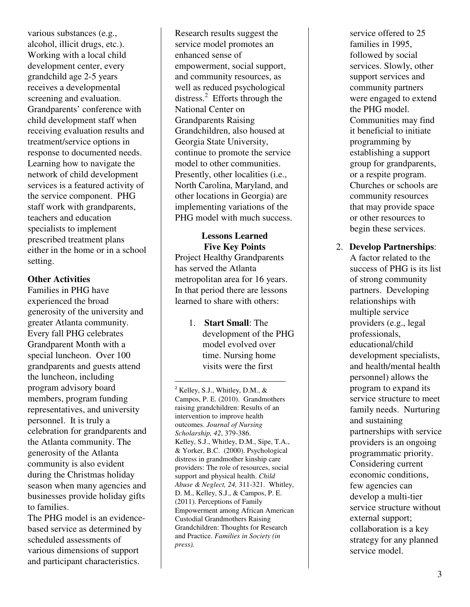various substances (e.g., alcohol, illicit drugs, etc.). Working with a local child development center, every grandchild age 2-5 years receives a developmental screening and evaluation. Grandparents' conference with child development staff when receiving evaluation results and treatment/service options in response to documented needs. Learning how to navigate the network of child development services is a featured activity of the service component. PHG staff work with grandparents, teachers and education specialists to implement prescribed treatment plans either in the home or in a school setting.

#### **Other Activities**

Families in PHG have experienced the broad generosity of the university and greater Atlanta community. Every fall PHG celebrates Grandparent Month with a special luncheon. Over 100 grandparents and guests attend the luncheon, including program advisory board members, program funding representatives, and university personnel. It is truly a celebration for grandparents and the Atlanta community. The generosity of the Atlanta community is also evident during the Christmas holiday season when many agencies and businesses provide holiday gifts to families.

The PHG model is an evidencebased service as determined by scheduled assessments of various dimensions of support and participant characteristics.

Research results suggest the service model promotes an enhanced sense of empowerment, social support, and community resources, as well as reduced psychological distress.<sup>2</sup> Efforts through the National Center on Grandparents Raising Grandchildren, also housed at Georgia State University, continue to promote the service model to other communities. Presently, other localities (i.e., North Carolina, Maryland, and other locations in Georgia) are implementing variations of the PHG model with much success.

#### **Lessons Learned Five Key Points**

Project Healthy Grandparents has served the Atlanta metropolitan area for 16 years. In that period there are lessons learned to share with others:

> 1. **Start Small**: The development of the PHG model evolved over time. Nursing home visits were the first

<u>.</u>

 $2$  Kelley, S.J., Whitley, D.M., & Campos, P. E. (2010). Grandmothers raising grandchildren: Results of an intervention to improve health outcomes. *Journal of Nursing Scholarship, 42*, 379-386. Kelley, S.J., Whitley, D.M., Sipe, T.A., & Yorker, B.C. (2000). Psychological distress in grandmother kinship care providers: The role of resources, social support and physical health. *Child Abuse & Neglect, 24,* 311-321. Whitley, D. M., Kelley, S.J., & Campos, P. E. (2011). Perceptions of Family Empowerment among African American Custodial Grandmothers Raising Grandchildren: Thoughts for Research and Practice. *Families in Society (in press).*

service offered to 25 families in 1995, followed by social services. Slowly, other support services and community partners were engaged to extend the PHG model. Communities may find it beneficial to initiate programming by establishing a support group for grandparents, or a respite program. Churches or schools are community resources that may provide space or other resources to begin these services.

2. **Develop Partnerships**: A factor related to the success of PHG is its list of strong community partners. Developing relationships with multiple service providers (e.g., legal professionals, educational/child development specialists, and health/mental health personnel) allows the program to expand its service structure to meet family needs. Nurturing and sustaining partnerships with service providers is an ongoing programmatic priority. Considering current economic conditions, few agencies can develop a multi-tier service structure without external support; collaboration is a key strategy for any planned service model.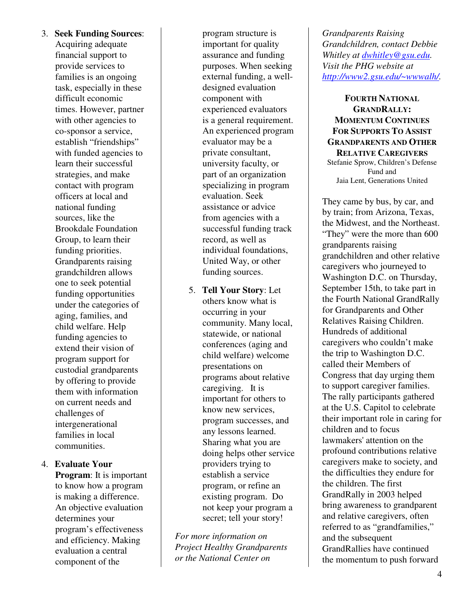3. **Seek Funding Sources**:

Acquiring adequate financial support to provide services to families is an ongoing task, especially in these difficult economic times. However, partner with other agencies to co-sponsor a service, establish "friendships" with funded agencies to learn their successful strategies, and make contact with program officers at local and national funding sources, like the Brookdale Foundation Group, to learn their funding priorities. Grandparents raising grandchildren allows one to seek potential funding opportunities under the categories of aging, families, and child welfare. Help funding agencies to extend their vision of program support for custodial grandparents by offering to provide them with information on current needs and challenges of intergenerational families in local communities.

## 4. **Evaluate Your**

**Program**: It is important to know how a program is making a difference. An objective evaluation determines your program's effectiveness and efficiency. Making evaluation a central component of the

program structure is important for quality assurance and funding purposes. When seeking external funding, a welldesigned evaluation component with experienced evaluators is a general requirement. An experienced program evaluator may be a private consultant, university faculty, or part of an organization specializing in program evaluation. Seek assistance or advice from agencies with a successful funding track record, as well as individual foundations, United Way, or other funding sources.

5. **Tell Your Story**: Let others know what is occurring in your community. Many local, statewide, or national conferences (aging and child welfare) welcome presentations on programs about relative caregiving. It is important for others to know new services, program successes, and any lessons learned. Sharing what you are doing helps other service providers trying to establish a service program, or refine an existing program. Do not keep your program a secret; tell your story!

*For more information on Project Healthy Grandparents or the National Center on* 

*Grandparents Raising Grandchildren, contact Debbie Whitley at dwhitley@gsu.edu. Visit the PHG website at http://www2.gsu.edu/~wwwalh/.* 

**FOURTH NATIONAL GRANDRALLY: MOMENTUM CONTINUES FOR SUPPORTS TO ASSIST GRANDPARENTS AND OTHER RELATIVE CAREGIVERS**  Stefanie Sprow, Children's Defense Fund and Jaia Lent, Generations United

They came by bus, by car, and by train; from Arizona, Texas, the Midwest, and the Northeast. "They" were the more than 600 grandparents raising grandchildren and other relative caregivers who journeyed to Washington D.C. on Thursday, September 15th, to take part in the Fourth National GrandRally for Grandparents and Other Relatives Raising Children. Hundreds of additional caregivers who couldn't make the trip to Washington D.C. called their Members of Congress that day urging them to support caregiver families. The rally participants gathered at the U.S. Capitol to celebrate their important role in caring for children and to focus lawmakers' attention on the profound contributions relative caregivers make to society, and the difficulties they endure for the children. The first GrandRally in 2003 helped bring awareness to grandparent and relative caregivers, often referred to as "grandfamilies," and the subsequent GrandRallies have continued the momentum to push forward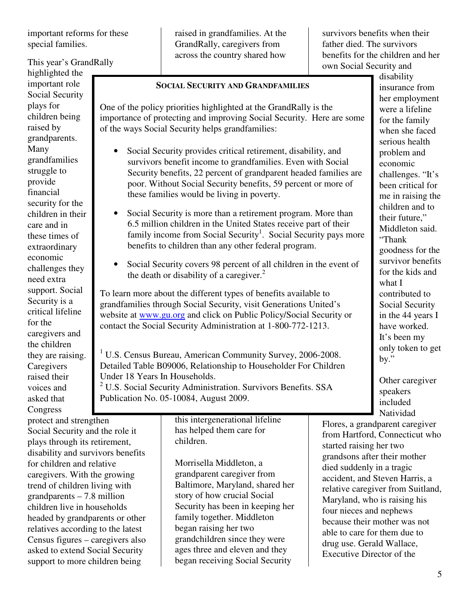important reforms for these special families.

## This year's GrandRally

highlighted the important role Social Security plays for children being raised by grandparents. Many grandfamilies struggle to provide financial security for the children in their care and in these times of extraordinary economic challenges they need extra support. Social Security is a critical lifeline for the caregivers and the children they are raising. **Caregivers** raised their voices and asked that Congress

protect and strengthen Social Security and the role it plays through its retirement, disability and survivors benefits for children and relative caregivers. With the growing trend of children living with grandparents – 7.8 million children live in households headed by grandparents or other relatives according to the latest Census figures – caregivers also asked to extend Social Security support to more children being

raised in grandfamilies. At the GrandRally, caregivers from across the country shared how survivors benefits when their father died. The survivors benefits for the children and her own Social Security and

#### **SOCIAL SECURITY AND GRANDFAMILIES**

One of the policy priorities highlighted at the GrandRally is the importance of protecting and improving Social Security. Here are some of the ways Social Security helps grandfamilies:

- Social Security provides critical retirement, disability, and survivors benefit income to grandfamilies. Even with Social Security benefits, 22 percent of grandparent headed families are poor. Without Social Security benefits, 59 percent or more of these families would be living in poverty.
- Social Security is more than a retirement program. More than 6.5 million children in the United States receive part of their family income from Social Security<sup>1</sup>. Social Security pays more benefits to children than any other federal program.
- Social Security covers 98 percent of all children in the event of the death or disability of a caregiver.<sup>2</sup>

To learn more about the different types of benefits available to grandfamilies through Social Security, visit Generations United's website at www.gu.org and click on Public Policy/Social Security or contact the Social Security Administration at 1-800-772-1213.

<sup>1</sup> U.S. Census Bureau, American Community Survey, 2006-2008. Detailed Table B09006, Relationship to Householder For Children Under 18 Years In Households.

<sup>2</sup> U.S. Social Security Administration. Survivors Benefits. SSA Publication No. 05-10084, August 2009.

> this intergenerational lifeline has helped them care for children.

Morrisella Middleton, a grandparent caregiver from Baltimore, Maryland, shared her story of how crucial Social Security has been in keeping her family together. Middleton began raising her two grandchildren since they were ages three and eleven and they began receiving Social Security

disability insurance from her employment were a lifeline for the family when she faced serious health problem and economic challenges. "It's been critical for me in raising the children and to their future," Middleton said. "Thank goodness for the survivor benefits for the kids and what I contributed to Social Security in the 44 years I have worked. It's been my only token to get by."

Other caregiver speakers included Natividad

Flores, a grandparent caregiver from Hartford, Connecticut who started raising her two grandsons after their mother died suddenly in a tragic accident, and Steven Harris, a relative caregiver from Suitland, Maryland, who is raising his four nieces and nephews because their mother was not able to care for them due to drug use. Gerald Wallace, Executive Director of the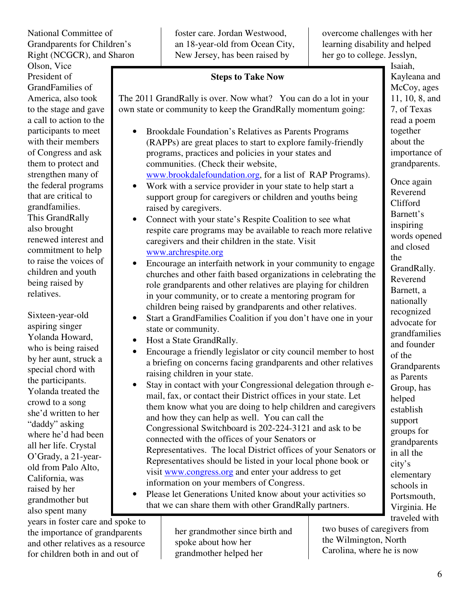National Committee of Grandparents for Children's Right (NCGCR), and Sharon

Olson, Vice President of GrandFamilies of America, also took to the stage and gave a call to action to the participants to meet with their members of Congress and ask them to protect and strengthen many of the federal programs that are critical to grandfamilies. This GrandRally also brought renewed interest and commitment to help to raise the voices of children and youth being raised by relatives.

Sixteen-year-old aspiring singer Yolanda Howard, who is being raised by her aunt, struck a special chord with the participants. Yolanda treated the crowd to a song she'd written to her "daddy" asking where he'd had been all her life. Crystal O'Grady, a 21-yearold from Palo Alto, California, was raised by her grandmother but also spent many

years in foster care and spoke to the importance of grandparents and other relatives as a resource for children both in and out of

foster care. Jordan Westwood, an 18-year-old from Ocean City, New Jersey, has been raised by

overcome challenges with her learning disability and helped her go to college. Jesslyn,

## **Steps to Take Now**

The 2011 GrandRally is over. Now what? You can do a lot in your own state or community to keep the GrandRally momentum going:

- Brookdale Foundation's Relatives as Parents Programs (RAPPs) are great places to start to explore family-friendly programs, practices and policies in your states and communities. (Check their website, www.brookdalefoundation.org, for a list of RAP Programs).
- Work with a service provider in your state to help start a support group for caregivers or children and youths being raised by caregivers.
- Connect with your state's Respite Coalition to see what respite care programs may be available to reach more relative caregivers and their children in the state. Visit www.archrespite.org
- Encourage an interfaith network in your community to engage churches and other faith based organizations in celebrating the role grandparents and other relatives are playing for children in your community, or to create a mentoring program for children being raised by grandparents and other relatives.
- Start a GrandFamilies Coalition if you don't have one in your state or community.
- Host a State GrandRally.
- Encourage a friendly legislator or city council member to host a briefing on concerns facing grandparents and other relatives raising children in your state.
- Stay in contact with your Congressional delegation through email, fax, or contact their District offices in your state. Let them know what you are doing to help children and caregivers and how they can help as well. You can call the Congressional Switchboard is 202-224-3121 and ask to be connected with the offices of your Senators or Representatives. The local District offices of your Senators or Representatives should be listed in your local phone book or visit www.congress.org and enter your address to get information on your members of Congress.
- Please let Generations United know about your activities so that we can share them with other GrandRally partners. Contact Jaia Peterson Lent at jlent@gu.org or Stephanie

her grandmother since birth and spoke about how her grandmother helped her

two buses of caregivers from the Wilmington, North Carolina, where he is now

Isaiah, Kayleana and McCoy, ages 11, 10, 8, and 7, of Texas read a poem together about the importance of grandparents.

Once again Reverend Clifford Barnett's inspiring words opened and closed the GrandRally. Reverend Barnett, a nationally recognized advocate for grandfamilies and founder of the **Grandparents** as Parents Group, has helped establish support groups for grandparents in all the city's elementary schools in Portsmouth, Virginia. He traveled with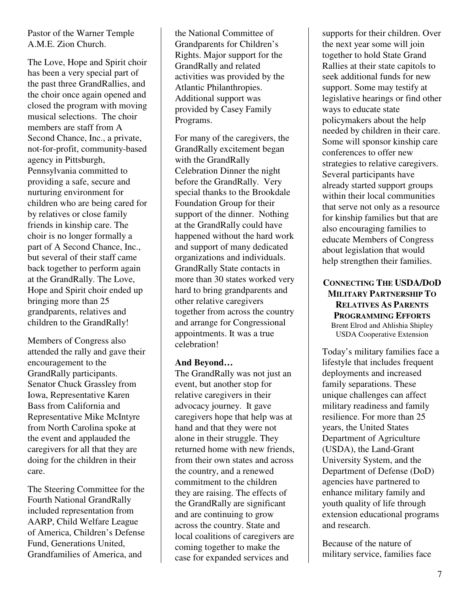## Pastor of the Warner Temple A.M.E. Zion Church.

The Love, Hope and Spirit choir has been a very special part of the past three GrandRallies, and the choir once again opened and closed the program with moving musical selections. The choir members are staff from A Second Chance, Inc., a private, not-for-profit, community-based agency in Pittsburgh, Pennsylvania committed to providing a safe, secure and nurturing environment for children who are being cared for by relatives or close family friends in kinship care. The choir is no longer formally a part of A Second Chance, Inc., but several of their staff came back together to perform again at the GrandRally. The Love, Hope and Spirit choir ended up bringing more than 25 grandparents, relatives and children to the GrandRally!

Members of Congress also attended the rally and gave their encouragement to the GrandRally participants. Senator Chuck Grassley from Iowa, Representative Karen Bass from California and Representative Mike McIntyre from North Carolina spoke at the event and applauded the caregivers for all that they are doing for the children in their care.

The Steering Committee for the Fourth National GrandRally included representation from AARP, Child Welfare League of America, Children's Defense Fund, Generations United, Grandfamilies of America, and

the National Committee of Grandparents for Children's Rights. Major support for the GrandRally and related activities was provided by the Atlantic Philanthropies. Additional support was provided by Casey Family Programs.

For many of the caregivers, the GrandRally excitement began with the GrandRally Celebration Dinner the night before the GrandRally. Very special thanks to the Brookdale Foundation Group for their support of the dinner. Nothing at the GrandRally could have happened without the hard work and support of many dedicated organizations and individuals. GrandRally State contacts in more than 30 states worked very hard to bring grandparents and other relative caregivers together from across the country and arrange for Congressional appointments. It was a true celebration!

## **And Beyond…**

The GrandRally was not just an event, but another stop for relative caregivers in their advocacy journey. It gave caregivers hope that help was at hand and that they were not alone in their struggle. They returned home with new friends, from their own states and across the country, and a renewed commitment to the children they are raising. The effects of the GrandRally are significant and are continuing to grow across the country. State and local coalitions of caregivers are coming together to make the case for expanded services and

supports for their children. Over the next year some will join together to hold State Grand Rallies at their state capitols to seek additional funds for new support. Some may testify at legislative hearings or find other ways to educate state policymakers about the help needed by children in their care. Some will sponsor kinship care conferences to offer new strategies to relative caregivers. Several participants have already started support groups within their local communities that serve not only as a resource for kinship families but that are also encouraging families to educate Members of Congress about legislation that would help strengthen their families.

#### **CONNECTING THE USDA/DOD MILITARY PARTNERSHIP TO RELATIVES AS PARENTS PROGRAMMING EFFORTS** Brent Elrod and Ahlishia Shipley USDA Cooperative Extension

Today's military families face a lifestyle that includes frequent deployments and increased family separations. These unique challenges can affect military readiness and family resilience. For more than 25 years, the United States Department of Agriculture (USDA), the Land-Grant University System, and the Department of Defense (DoD) agencies have partnered to enhance military family and youth quality of life through extension educational programs and research.

Because of the nature of military service, families face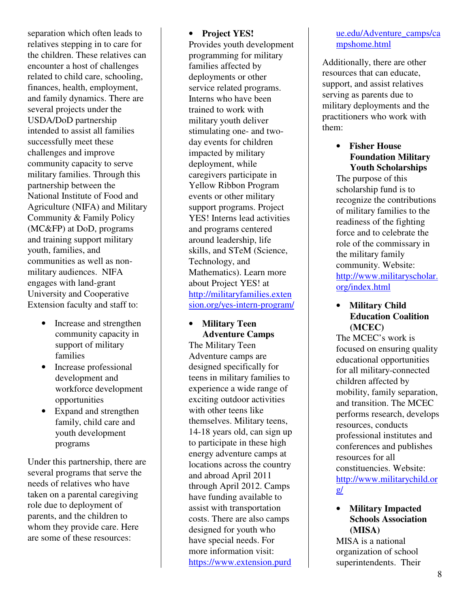separation which often leads to relatives stepping in to care for the children. These relatives can encounter a host of challenges related to child care, schooling, finances, health, employment, and family dynamics. There are several projects under the USDA/DoD partnership intended to assist all families successfully meet these challenges and improve community capacity to serve military families. Through this partnership between the National Institute of Food and Agriculture (NIFA) and Military Community & Family Policy (MC&FP) at DoD, programs and training support military youth, families, and communities as well as nonmilitary audiences. NIFA engages with land-grant University and Cooperative Extension faculty and staff to:

- Increase and strengthen community capacity in support of military families
- Increase professional development and workforce development opportunities
- Expand and strengthen family, child care and youth development programs

Under this partnership, there are several programs that serve the needs of relatives who have taken on a parental caregiving role due to deployment of parents, and the children to whom they provide care. Here are some of these resources:

## • **Project YES!**

Provides youth development programming for military families affected by deployments or other service related programs. Interns who have been trained to work with military youth deliver stimulating one- and twoday events for children impacted by military deployment, while caregivers participate in Yellow Ribbon Program events or other military support programs. Project YES! Interns lead activities and programs centered around leadership, life skills, and STeM (Science, Technology, and Mathematics). Learn more about Project YES! at http://militaryfamilies.exten sion.org/yes-intern-program/

#### • **Military Teen Adventure Camps**

The Military Teen Adventure camps are designed specifically for teens in military families to experience a wide range of exciting outdoor activities with other teens like themselves. Military teens, 14-18 years old, can sign up to participate in these high energy adventure camps at locations across the country and abroad April 2011 through April 2012. Camps have funding available to assist with transportation costs. There are also camps designed for youth who have special needs. For more information visit: https://www.extension.purd

## ue.edu/Adventure\_camps/ca mpshome.html

Additionally, there are other resources that can educate, support, and assist relatives serving as parents due to military deployments and the practitioners who work with them:

### • **Fisher House Foundation Military Youth Scholarships**

The purpose of this scholarship fund is to recognize the contributions of military families to the readiness of the fighting force and to celebrate the role of the commissary in the military family community. Website: http://www.militaryscholar. org/index.html

## • **Military Child Education Coalition (MCEC)**

The MCEC's work is focused on ensuring quality educational opportunities for all military-connected children affected by mobility, family separation, and transition. The MCEC performs research, develops resources, conducts professional institutes and conferences and publishes resources for all constituencies. Website: http://www.militarychild.or g/

## • **Military Impacted Schools Association (MISA)**

MISA is a national organization of school superintendents. Their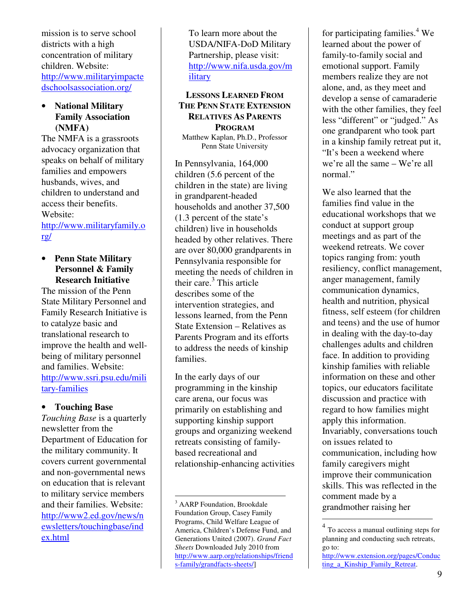mission is to serve school districts with a high concentration of military children. Website: http://www.militaryimpacte dschoolsassociation.org/

#### • **National Military Family Association (NMFA)**

The NMFA is a grassroots advocacy organization that speaks on behalf of military families and empowers husbands, wives, and children to understand and access their benefits. Website:

http://www.militaryfamily.o rg/

#### • **Penn State Military Personnel & Family Research Initiative**

The mission of the Penn State Military Personnel and Family Research Initiative is to catalyze basic and translational research to improve the health and wellbeing of military personnel and families. Website: http://www.ssri.psu.edu/mili tary-families

#### • **Touching Base**

*Touching Base* is a quarterly newsletter from the Department of Education for the military community. It covers current governmental and non-governmental news on education that is relevant to military service members and their families. Website: http://www2.ed.gov/news/n ewsletters/touchingbase/ind ex.html

To learn more about the USDA/NIFA-DoD Military Partnership, please visit: http://www.nifa.usda.gov/m ilitary

## **LESSONS LEARNED FROM THE PENN STATE EXTENSION RELATIVES AS PARENTS PROGRAM**  Matthew Kaplan, Ph.D., Professor

Penn State University

In Pennsylvania, 164,000 children (5.6 percent of the children in the state) are living in grandparent-headed households and another 37,500 (1.3 percent of the state's children) live in households headed by other relatives. There are over 80,000 grandparents in Pennsylvania responsible for meeting the needs of children in their care.<sup>3</sup> This article describes some of the intervention strategies, and lessons learned, from the Penn State Extension – Relatives as Parents Program and its efforts to address the needs of kinship families.

In the early days of our programming in the kinship care arena, our focus was primarily on establishing and supporting kinship support groups and organizing weekend retreats consisting of familybased recreational and relationship-enhancing activities

<u>.</u>

for participating families.<sup>4</sup> We learned about the power of family-to-family social and emotional support. Family members realize they are not alone, and, as they meet and develop a sense of camaraderie with the other families, they feel less "different" or "judged." As one grandparent who took part in a kinship family retreat put it, "It's been a weekend where we're all the same – We're all normal."

We also learned that the families find value in the educational workshops that we conduct at support group meetings and as part of the weekend retreats. We cover topics ranging from: youth resiliency, conflict management, anger management, family communication dynamics, health and nutrition, physical fitness, self esteem (for children and teens) and the use of humor in dealing with the day-to-day challenges adults and children face. In addition to providing kinship families with reliable information on these and other topics, our educators facilitate discussion and practice with regard to how families might apply this information. Invariably, conversations touch on issues related to communication, including how family caregivers might improve their communication skills. This was reflected in the comment made by a grandmother raising her

-

<sup>&</sup>lt;sup>3</sup> AARP Foundation, Brookdale Foundation Group, Casey Family Programs, Child Welfare League of America, Children's Defense Fund, and Generations United (2007). *Grand Fact Sheets* Downloaded July 2010 from http://www.aarp.org/relationships/friend s-family/grandfacts-sheets/]

<sup>&</sup>lt;sup>4</sup> To access a manual outlining steps for planning and conducting such retreats, go to:

http://www.extension.org/pages/Conduc ting a Kinship Family Retreat.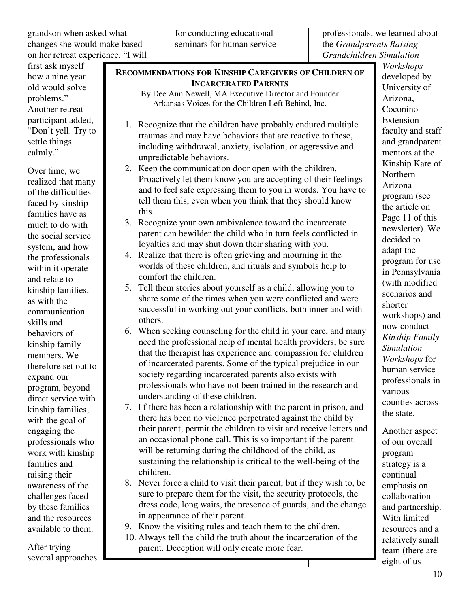for conducting educational seminars for human service

**RECOMMENDATIONS FOR KINSHIP CAREGIVERS OF CHILDREN OF** 

professionals, we learned about the *Grandparents Raising Grandchildren Simulation*

first ask myself how a nine year old would solve problems." Another retreat participant added, "Don't yell. Try to settle things calmly."

Over time, we realized that many of the difficulties faced by kinship families have as much to do with the social service system, and how the professionals within it operate and relate to kinship families, as with the communication skills and behaviors of kinship family members. We therefore set out to expand our program, beyond direct service with kinship families, with the goal of engaging the professionals who work with kinship families and raising their awareness of the challenges faced by these families and the resources available to them.

After trying several approaches

|    | <b>INCARCERATED PARENTS</b>                                                                                                                                                                                                                           |
|----|-------------------------------------------------------------------------------------------------------------------------------------------------------------------------------------------------------------------------------------------------------|
|    | By Dee Ann Newell, MA Executive Director and Founder                                                                                                                                                                                                  |
|    | Arkansas Voices for the Children Left Behind, Inc.                                                                                                                                                                                                    |
|    | 1. Recognize that the children have probably endured multiple<br>traumas and may have behaviors that are reactive to these,                                                                                                                           |
|    | including withdrawal, anxiety, isolation, or aggressive and<br>unpredictable behaviors.                                                                                                                                                               |
|    | 2. Keep the communication door open with the children.<br>Proactively let them know you are accepting of their feelings<br>and to feel safe expressing them to you in words. You have to<br>tell them this, even when you think that they should know |
| 3. | this.<br>Recognize your own ambivalence toward the incarcerate                                                                                                                                                                                        |
|    |                                                                                                                                                                                                                                                       |

- parent can bewilder the child who in turn feels conflicted in loyalties and may shut down their sharing with you.
- 4. Realize that there is often grieving and mourning in the worlds of these children, and rituals and symbols help to comfort the children.
- 5. Tell them stories about yourself as a child, allowing you to share some of the times when you were conflicted and were successful in working out your conflicts, both inner and with others.
- 6. When seeking counseling for the child in your care, and many need the professional help of mental health providers, be sure that the therapist has experience and compassion for children of incarcerated parents. Some of the typical prejudice in our society regarding incarcerated parents also exists with professionals who have not been trained in the research and understanding of these children.
- 7. I f there has been a relationship with the parent in prison, and there has been no violence perpetrated against the child by their parent, permit the children to visit and receive letters and an occasional phone call. This is so important if the parent will be returning during the childhood of the child, as sustaining the relationship is critical to the well-being of the children.
- 8. Never force a child to visit their parent, but if they wish to, be sure to prepare them for the visit, the security protocols, the dress code, long waits, the presence of guards, and the change in appearance of their parent.
- 9. Know the visiting rules and teach them to the children.
- 10. Always tell the child the truth about the incarceration of the parent. Deception will only create more fear.

*Workshops* developed by University of Arizona, Coconino Extension faculty and staff and grandparent mentors at the Kinship Kare of Northern Arizona program (see the article on Page 11 of this newsletter). We decided to adapt the program for use in Pennsylvania (with modified scenarios and shorter workshops) and now conduct *Kinship Family Simulation Workshops* for human service professionals in various counties across the state.

Another aspect of our overall program strategy is a continual emphasis on collaboration and partnership. With limited resources and a relatively small team (there are eight of us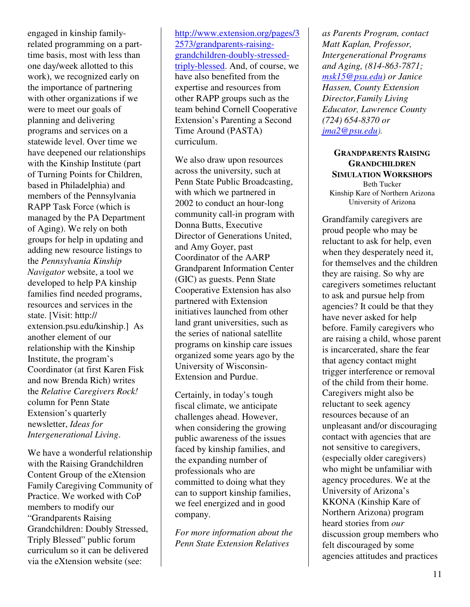engaged in kinship familyrelated programming on a parttime basis, most with less than one day/week allotted to this work), we recognized early on the importance of partnering with other organizations if we were to meet our goals of planning and delivering programs and services on a statewide level. Over time we have deepened our relationships with the Kinship Institute (part of Turning Points for Children, based in Philadelphia) and members of the Pennsylvania RAPP Task Force (which is managed by the PA Department of Aging). We rely on both groups for help in updating and adding new resource listings to the *Pennsylvania Kinship Navigator* website, a tool we developed to help PA kinship families find needed programs, resources and services in the state. [Visit: http:// extension.psu.edu/kinship.] As another element of our relationship with the Kinship Institute, the program's Coordinator (at first Karen Fisk and now Brenda Rich) writes the *Relative Caregivers Rock!* column for Penn State Extension's quarterly newsletter, *Ideas for Intergenerational Living*.

We have a wonderful relationship with the Raising Grandchildren Content Group of the eXtension Family Caregiving Community of Practice. We worked with CoP members to modify our "Grandparents Raising Grandchildren: Doubly Stressed, Triply Blessed" public forum curriculum so it can be delivered via the eXtension website (see:

http://www.extension.org/pages/3 2573/grandparents-raisinggrandchildren-doubly-stressedtriply-blessed. And, of course, we have also benefited from the expertise and resources from other RAPP groups such as the team behind Cornell Cooperative Extension's Parenting a Second Time Around (PASTA) curriculum.

We also draw upon resources across the university, such at Penn State Public Broadcasting, with which we partnered in 2002 to conduct an hour-long community call-in program with Donna Butts, Executive Director of Generations United, and Amy Goyer, past Coordinator of the AARP Grandparent Information Center (GIC) as guests. Penn State Cooperative Extension has also partnered with Extension initiatives launched from other land grant universities, such as the series of national satellite programs on kinship care issues organized some years ago by the University of Wisconsin-Extension and Purdue.

Certainly, in today's tough fiscal climate, we anticipate challenges ahead. However, when considering the growing public awareness of the issues faced by kinship families, and the expanding number of professionals who are committed to doing what they can to support kinship families, we feel energized and in good company.

*For more information about the Penn State Extension Relatives* 

*as Parents Program, contact Matt Kaplan, Professor, Intergenerational Programs and Aging, (814-863-7871; msk15@psu.edu) or Janice Hassen, County Extension Director,Family Living Educator, Lawrence County (724) 654-8370 or jma2@psu.edu).* 

**GRANDPARENTS RAISING GRANDCHILDREN SIMULATION WORKSHOPS** Beth Tucker Kinship Kare of Northern Arizona University of Arizona

Grandfamily caregivers are proud people who may be reluctant to ask for help, even when they desperately need it, for themselves and the children they are raising. So why are caregivers sometimes reluctant to ask and pursue help from agencies? It could be that they have never asked for help before. Family caregivers who are raising a child, whose parent is incarcerated, share the fear that agency contact might trigger interference or removal of the child from their home. Caregivers might also be reluctant to seek agency resources because of an unpleasant and/or discouraging contact with agencies that are not sensitive to caregivers, (especially older caregivers) who might be unfamiliar with agency procedures. We at the University of Arizona's KKONA (Kinship Kare of Northern Arizona) program heard stories from *our*  discussion group members who felt discouraged by some agencies attitudes and practices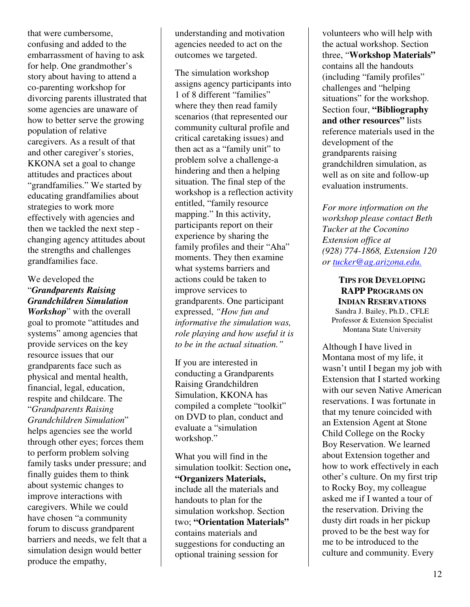that were cumbersome, confusing and added to the embarrassment of having to ask for help. One grandmother's story about having to attend a co-parenting workshop for divorcing parents illustrated that some agencies are unaware of how to better serve the growing population of relative caregivers. As a result of that and other caregiver's stories, KKONA set a goal to change attitudes and practices about "grandfamilies." We started by educating grandfamilies about strategies to work more effectively with agencies and then we tackled the next step changing agency attitudes about the strengths and challenges grandfamilies face.

## We developed the "*Grandparents Raising Grandchildren Simulation Workshop*" with the overall goal to promote "attitudes and systems" among agencies that provide services on the key resource issues that our grandparents face such as physical and mental health, financial, legal, education, respite and childcare. The "*Grandparents Raising Grandchildren Simulation*" helps agencies see the world through other eyes; forces them to perform problem solving family tasks under pressure; and finally guides them to think about systemic changes to improve interactions with caregivers. While we could have chosen "a community forum to discuss grandparent barriers and needs, we felt that a simulation design would better produce the empathy,

understanding and motivation agencies needed to act on the outcomes we targeted.

The simulation workshop assigns agency participants into 1 of 8 different "families" where they then read family scenarios (that represented our community cultural profile and critical caretaking issues) and then act as a "family unit" to problem solve a challenge-a hindering and then a helping situation. The final step of the workshop is a reflection activity entitled, "family resource mapping." In this activity, participants report on their experience by sharing the family profiles and their "Aha" moments. They then examine what systems barriers and actions could be taken to improve services to grandparents. One participant expressed, *"How fun and informative the simulation was, role playing and how useful it is to be in the actual situation."* 

If you are interested in conducting a Grandparents Raising Grandchildren Simulation, KKONA has compiled a complete "toolkit" on DVD to plan, conduct and evaluate a "simulation workshop."

What you will find in the simulation toolkit: Section one**, "Organizers Materials,**  include all the materials and handouts to plan for the simulation workshop. Section two; **"Orientation Materials"** contains materials and suggestions for conducting an optional training session for

volunteers who will help with the actual workshop. Section three, "**Workshop Materials"**  contains all the handouts (including "family profiles" challenges and "helping situations" for the workshop. Section four, **"Bibliography and other resources"** lists reference materials used in the development of the grandparents raising grandchildren simulation, as well as on site and follow-up evaluation instruments.

*For more information on the workshop please contact Beth Tucker at the Coconino Extension office at (928) 774-1868, Extension 120 or tucker@ag.arizona.edu.*

## **TIPS FOR DEVELOPING RAPP PROGRAMS ON**

**INDIAN RESERVATIONS** Sandra J. Bailey, Ph.D., CFLE Professor & Extension Specialist Montana State University

Although I have lived in Montana most of my life, it wasn't until I began my job with Extension that I started working with our seven Native American reservations. I was fortunate in that my tenure coincided with an Extension Agent at Stone Child College on the Rocky Boy Reservation. We learned about Extension together and how to work effectively in each other's culture. On my first trip to Rocky Boy, my colleague asked me if I wanted a tour of the reservation. Driving the dusty dirt roads in her pickup proved to be the best way for me to be introduced to the culture and community. Every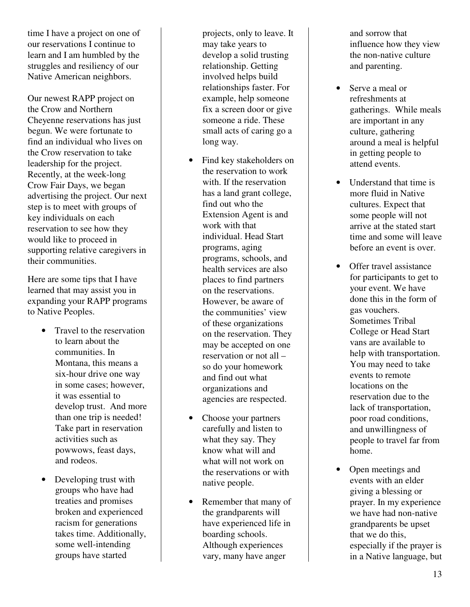time I have a project on one of our reservations I continue to learn and I am humbled by the struggles and resiliency of our Native American neighbors.

Our newest RAPP project on the Crow and Northern Cheyenne reservations has just begun. We were fortunate to find an individual who lives on the Crow reservation to take leadership for the project. Recently, at the week-long Crow Fair Days, we began advertising the project. Our next step is to meet with groups of key individuals on each reservation to see how they would like to proceed in supporting relative caregivers in their communities.

Here are some tips that I have learned that may assist you in expanding your RAPP programs to Native Peoples.

- Travel to the reservation to learn about the communities. In Montana, this means a six-hour drive one way in some cases; however, it was essential to develop trust. And more than one trip is needed! Take part in reservation activities such as powwows, feast days, and rodeos.
- Developing trust with groups who have had treaties and promises broken and experienced racism for generations takes time. Additionally, some well-intending groups have started

projects, only to leave. It may take years to develop a solid trusting relationship. Getting involved helps build relationships faster. For example, help someone fix a screen door or give someone a ride. These small acts of caring go a long way.

- Find key stakeholders on the reservation to work with. If the reservation has a land grant college, find out who the Extension Agent is and work with that individual. Head Start programs, aging programs, schools, and health services are also places to find partners on the reservations. However, be aware of the communities' view of these organizations on the reservation. They may be accepted on one reservation or not all – so do your homework and find out what organizations and agencies are respected.
- Choose your partners carefully and listen to what they say. They know what will and what will not work on the reservations or with native people.
- Remember that many of the grandparents will have experienced life in boarding schools. Although experiences vary, many have anger

and sorrow that influence how they view the non-native culture and parenting.

- Serve a meal or refreshments at gatherings. While meals are important in any culture, gathering around a meal is helpful in getting people to attend events.
- Understand that time is more fluid in Native cultures. Expect that some people will not arrive at the stated start time and some will leave before an event is over.
- Offer travel assistance for participants to get to your event. We have done this in the form of gas vouchers. Sometimes Tribal College or Head Start vans are available to help with transportation. You may need to take events to remote locations on the reservation due to the lack of transportation, poor road conditions, and unwillingness of people to travel far from home.
- Open meetings and events with an elder giving a blessing or prayer. In my experience we have had non-native grandparents be upset that we do this, especially if the prayer is in a Native language, but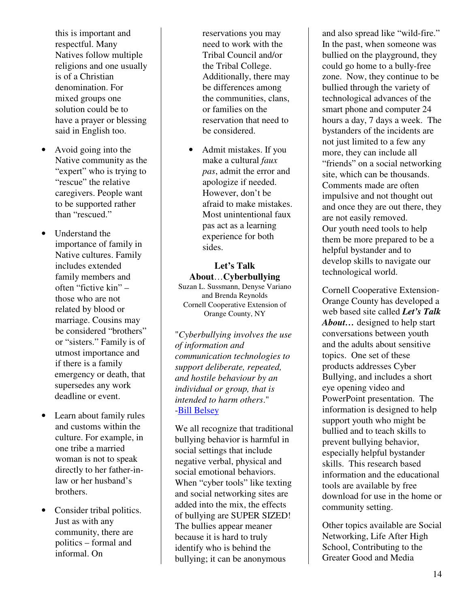this is important and respectful. Many Natives follow multiple religions and one usually is of a Christian denomination. For mixed groups one solution could be to have a prayer or blessing said in English too.

- Avoid going into the Native community as the "expert" who is trying to "rescue" the relative caregivers. People want to be supported rather than "rescued."
- Understand the importance of family in Native cultures. Family includes extended family members and often "fictive kin" – those who are not related by blood or marriage. Cousins may be considered "brothers" or "sisters." Family is of utmost importance and if there is a family emergency or death, that supersedes any work deadline or event.
- Learn about family rules and customs within the culture. For example, in one tribe a married woman is not to speak directly to her father-inlaw or her husband's brothers.
- Consider tribal politics. Just as with any community, there are politics – formal and informal. On

reservations you may need to work with the Tribal Council and/or the Tribal College. Additionally, there may be differences among the communities, clans, or families on the reservation that need to be considered.

• Admit mistakes. If you make a cultural *faux pas*, admit the error and apologize if needed. However, don't be afraid to make mistakes. Most unintentional faux pas act as a learning experience for both sides.

#### **Let's Talk About**…**Cyberbullying**  Suzan L. Sussmann, Denyse Variano and Brenda Reynolds Cornell Cooperative Extension of Orange County, NY

"*Cyberbullying involves the use of information and communication technologies to support deliberate, repeated, and hostile behaviour by an individual or group, that is intended to harm others*." -Bill Belsey

We all recognize that traditional bullying behavior is harmful in social settings that include negative verbal, physical and social emotional behaviors. When "cyber tools" like texting and social networking sites are added into the mix, the effects of bullying are SUPER SIZED! The bullies appear meaner because it is hard to truly identify who is behind the bullying; it can be anonymous

and also spread like "wild-fire." In the past, when someone was bullied on the playground, they could go home to a bully-free zone. Now, they continue to be bullied through the variety of technological advances of the smart phone and computer 24 hours a day, 7 days a week. The bystanders of the incidents are not just limited to a few any more, they can include all "friends" on a social networking site, which can be thousands. Comments made are often impulsive and not thought out and once they are out there, they are not easily removed. Our youth need tools to help them be more prepared to be a helpful bystander and to develop skills to navigate our technological world.

Cornell Cooperative Extension-Orange County has developed a web based site called *Let's Talk About…* designed to help start conversations between youth and the adults about sensitive topics. One set of these products addresses Cyber Bullying, and includes a short eye opening video and PowerPoint presentation. The information is designed to help support youth who might be bullied and to teach skills to prevent bullying behavior, especially helpful bystander skills. This research based information and the educational tools are available by free download for use in the home or community setting.

Other topics available are Social Networking, Life After High School, Contributing to the Greater Good and Media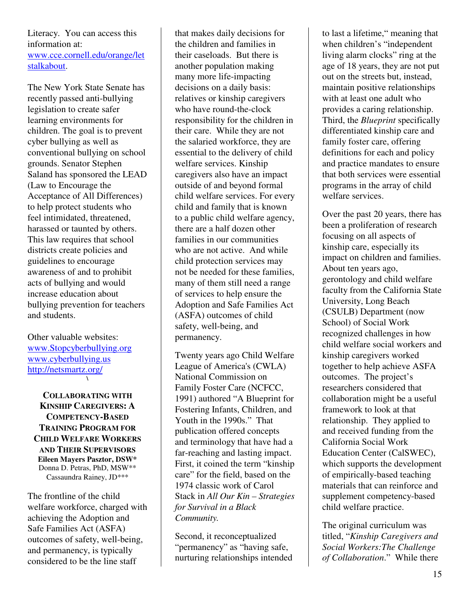## Literacy. You can access this information at: www.cce.cornell.edu/orange/let stalkabout.

The New York State Senate has recently passed anti-bullying legislation to create safer learning environments for children. The goal is to prevent cyber bullying as well as conventional bullying on school grounds. Senator Stephen Saland has sponsored the LEAD (Law to Encourage the Acceptance of All Differences) to help protect students who feel intimidated, threatened, harassed or taunted by others. This law requires that school districts create policies and guidelines to encourage awareness of and to prohibit acts of bullying and would increase education about bullying prevention for teachers and students.

Other valuable websites: www.Stopcyberbullying.org www.cyberbullying.us http://netsmartz.org/ **\** 

**COLLABORATING WITH KINSHIP CAREGIVERS: A COMPETENCY-BASED TRAINING PROGRAM FOR CHILD WELFARE WORKERS AND THEIR SUPERVISORS Eileen Mayers Pasztor, DSW\***  Donna D. Petras, PhD, MSW\*\* Cassaundra Rainey, JD\*\*\*

The frontline of the child welfare workforce, charged with achieving the Adoption and Safe Families Act (ASFA) outcomes of safety, well-being, and permanency, is typically considered to be the line staff

that makes daily decisions for the children and families in their caseloads. But there is another population making many more life-impacting decisions on a daily basis: relatives or kinship caregivers who have round-the-clock responsibility for the children in their care. While they are not the salaried workforce, they are essential to the delivery of child welfare services. Kinship caregivers also have an impact outside of and beyond formal child welfare services. For every child and family that is known to a public child welfare agency, there are a half dozen other families in our communities who are not active. And while child protection services may not be needed for these families, many of them still need a range of services to help ensure the Adoption and Safe Families Act (ASFA) outcomes of child safety, well-being, and permanency.

Twenty years ago Child Welfare League of America's (CWLA) National Commission on Family Foster Care (NCFCC, 1991) authored "A Blueprint for Fostering Infants, Children, and Youth in the 1990s." That publication offered concepts and terminology that have had a far-reaching and lasting impact. First, it coined the term "kinship care" for the field, based on the 1974 classic work of Carol Stack in *All Our Kin – Strategies for Survival in a Black Community.*

Second, it reconceptualized "permanency" as "having safe, nurturing relationships intended

to last a lifetime," meaning that when children's "independent living alarm clocks" ring at the age of 18 years, they are not put out on the streets but, instead, maintain positive relationships with at least one adult who provides a caring relationship. Third, the *Blueprint* specifically differentiated kinship care and family foster care, offering definitions for each and policy and practice mandates to ensure that both services were essential programs in the array of child welfare services.

Over the past 20 years, there has been a proliferation of research focusing on all aspects of kinship care, especially its impact on children and families. About ten years ago, gerontology and child welfare faculty from the California State University, Long Beach (CSULB) Department (now School) of Social Work recognized challenges in how child welfare social workers and kinship caregivers worked together to help achieve ASFA outcomes. The project's researchers considered that collaboration might be a useful framework to look at that relationship. They applied to and received funding from the California Social Work Education Center (CalSWEC), which supports the development of empirically-based teaching materials that can reinforce and supplement competency-based child welfare practice.

The original curriculum was titled, "*Kinship Caregivers and Social Workers:The Challenge of Collaboration*." While there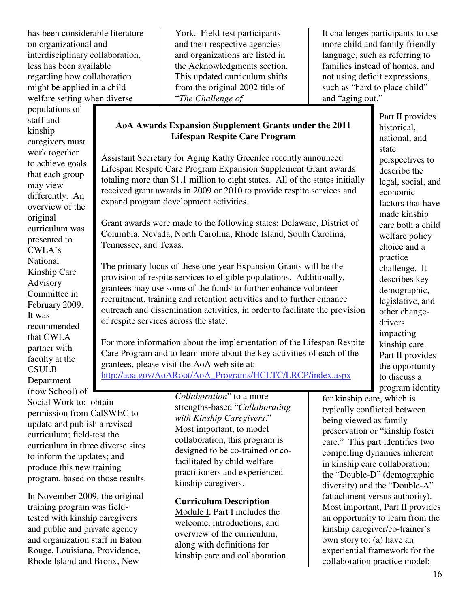has been considerable literature on organizational and interdisciplinary collaboration, less has been available regarding how collaboration might be applied in a child welfare setting when diverse

populations of staff and kinship caregivers must work together to achieve goals that each group may view differently. An overview of the original curriculum was presented to CWLA's National Kinship Care Advisory Committee in February 2009. It was recommended that CWLA partner with faculty at the **CSULB** Department

(now School) of Social Work to: obtain permission from CalSWEC to update and publish a revised curriculum; field-test the curriculum in three diverse sites to inform the updates; and produce this new training program, based on those results.

In November 2009, the original training program was fieldtested with kinship caregivers and public and private agency and organization staff in Baton Rouge, Louisiana, Providence, Rhode Island and Bronx, New

York. Field-test participants and their respective agencies and organizations are listed in the Acknowledgments section. This updated curriculum shifts from the original 2002 title of "*The Challenge of* 

It challenges participants to use more child and family-friendly language, such as referring to families instead of homes, and not using deficit expressions, such as "hard to place child" and "aging out."

## **AoA Awards Expansion Supplement Grants under the 2011 Lifespan Respite Care Program**

Assistant Secretary for Aging Kathy Greenlee recently announced Lifespan Respite Care Program Expansion Supplement Grant awards totaling more than \$1.1 million to eight states. All of the states initially received grant awards in 2009 or 2010 to provide respite services and expand program development activities.

Grant awards were made to the following states: Delaware, District of Columbia, Nevada, North Carolina, Rhode Island, South Carolina, Tennessee, and Texas.

The primary focus of these one-year Expansion Grants will be the provision of respite services to eligible populations. Additionally, grantees may use some of the funds to further enhance volunteer recruitment, training and retention activities and to further enhance outreach and dissemination activities, in order to facilitate the provision of respite services across the state.

For more information about the implementation of the Lifespan Respite Care Program and to learn more about the key activities of each of the grantees, please visit the AoA web site at:

http://aoa.gov/AoARoot/AoA\_Programs/HCLTC/LRCP/index.aspx

*Collaboration*" to a more strengths-based "*Collaborating with Kinship Caregivers*." Most important, to model collaboration, this program is designed to be co-trained or cofacilitated by child welfare practitioners and experienced kinship caregivers.

## **Curriculum Description**

Module I, Part I includes the welcome, introductions, and overview of the curriculum, along with definitions for kinship care and collaboration. Part II provides historical, national, and state perspectives to describe the legal, social, and economic factors that have made kinship care both a child welfare policy choice and a practice challenge. It describes key demographic, legislative, and other changedrivers impacting kinship care. Part II provides the opportunity to discuss a program identity

for kinship care, which is typically conflicted between being viewed as family preservation or "kinship foster care." This part identifies two compelling dynamics inherent in kinship care collaboration: the "Double-D" (demographic diversity) and the "Double-A" (attachment versus authority). Most important, Part II provides an opportunity to learn from the kinship caregiver/co-trainer's own story to: (a) have an experiential framework for the collaboration practice model;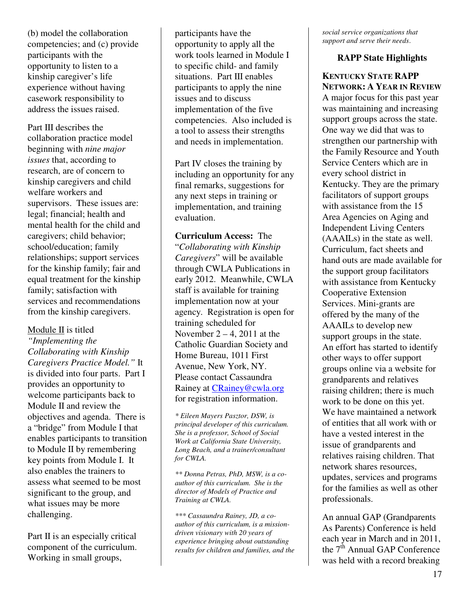(b) model the collaboration competencies; and (c) provide participants with the opportunity to listen to a kinship caregiver's life experience without having casework responsibility to address the issues raised.

Part III describes the collaboration practice model beginning with *nine major issues* that, according to research, are of concern to kinship caregivers and child welfare workers and supervisors. These issues are: legal; financial; health and mental health for the child and caregivers; child behavior; school/education; family relationships; support services for the kinship family; fair and equal treatment for the kinship family; satisfaction with services and recommendations from the kinship caregivers.

#### Module II is titled

*"Implementing the Collaborating with Kinship Caregivers Practice Model."* It is divided into four parts. Part I provides an opportunity to welcome participants back to Module II and review the objectives and agenda. There is a "bridge" from Module I that enables participants to transition to Module II by remembering key points from Module I. It also enables the trainers to assess what seemed to be most significant to the group, and what issues may be more challenging.

Part II is an especially critical component of the curriculum. Working in small groups,

participants have the opportunity to apply all the work tools learned in Module I to specific child- and family situations. Part III enables participants to apply the nine issues and to discuss implementation of the five competencies. Also included is a tool to assess their strengths and needs in implementation.

Part IV closes the training by including an opportunity for any final remarks, suggestions for any next steps in training or implementation, and training evaluation.

**Curriculum Access:** The "*Collaborating with Kinship Caregivers*" will be available through CWLA Publications in early 2012. Meanwhile, CWLA staff is available for training implementation now at your agency. Registration is open for training scheduled for November  $2 - 4$ , 2011 at the Catholic Guardian Society and Home Bureau, 1011 First Avenue, New York, NY. Please contact Cassaundra Rainey at CRainey@cwla.org for registration information.

*\* Eileen Mayers Pasztor, DSW, is principal developer of this curriculum. She is a professor, School of Social Work at California State University, Long Beach, and a trainer/consultant for CWLA.* 

*\*\* Donna Petras, PhD, MSW, is a coauthor of this curriculum. She is the director of Models of Practice and Training at CWLA.* 

*\*\*\* Cassaundra Rainey, JD, a coauthor of this curriculum, is a missiondriven visionary with 20 years of experience bringing about outstanding results for children and families, and the*  *social service organizations that support and serve their needs*.

#### **RAPP State Highlights**

## **KENTUCKY STATE RAPP NETWORK: A YEAR IN REVIEW**

A major focus for this past year was maintaining and increasing support groups across the state. One way we did that was to strengthen our partnership with the Family Resource and Youth Service Centers which are in every school district in Kentucky. They are the primary facilitators of support groups with assistance from the 15 Area Agencies on Aging and Independent Living Centers (AAAILs) in the state as well. Curriculum, fact sheets and hand outs are made available for the support group facilitators with assistance from Kentucky Cooperative Extension Services. Mini-grants are offered by the many of the AAAILs to develop new support groups in the state. An effort has started to identify other ways to offer support groups online via a website for grandparents and relatives raising children; there is much work to be done on this yet. We have maintained a network of entities that all work with or have a vested interest in the issue of grandparents and relatives raising children. That network shares resources, updates, services and programs for the families as well as other professionals.

An annual GAP (Grandparents As Parents) Conference is held each year in March and in 2011, the  $7<sup>th</sup>$  Annual GAP Conference was held with a record breaking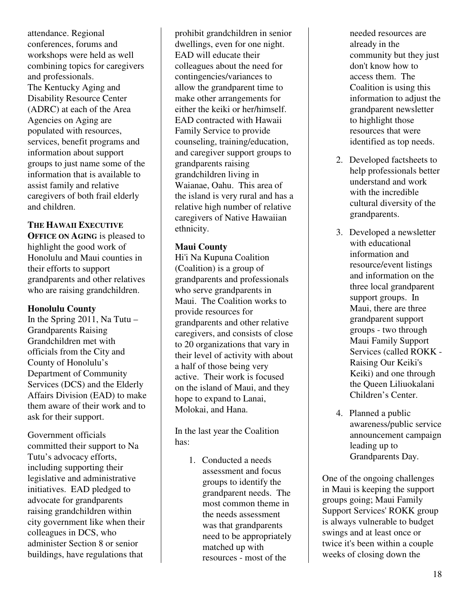attendance. Regional conferences, forums and workshops were held as well combining topics for caregivers and professionals. The Kentucky Aging and Disability Resource Center (ADRC) at each of the Area Agencies on Aging are populated with resources, services, benefit programs and information about support groups to just name some of the information that is available to assist family and relative caregivers of both frail elderly and children.

## **THE HAWAII EXECUTIVE**

**OFFICE ON AGING** is pleased to highlight the good work of Honolulu and Maui counties in their efforts to support grandparents and other relatives who are raising grandchildren.

## **Honolulu County**

In the Spring 2011, Na Tutu – Grandparents Raising Grandchildren met with officials from the City and County of Honolulu's Department of Community Services (DCS) and the Elderly Affairs Division (EAD) to make them aware of their work and to ask for their support.

Government officials committed their support to Na Tutu's advocacy efforts, including supporting their legislative and administrative initiatives. EAD pledged to advocate for grandparents raising grandchildren within city government like when their colleagues in DCS, who administer Section 8 or senior buildings, have regulations that

prohibit grandchildren in senior dwellings, even for one night. EAD will educate their colleagues about the need for contingencies/variances to allow the grandparent time to make other arrangements for either the keiki or her/himself. EAD contracted with Hawaii Family Service to provide counseling, training/education, and caregiver support groups to grandparents raising grandchildren living in Waianae, Oahu. This area of the island is very rural and has a relative high number of relative caregivers of Native Hawaiian ethnicity.

## **Maui County**

Hi'i Na Kupuna Coalition (Coalition) is a group of grandparents and professionals who serve grandparents in Maui. The Coalition works to provide resources for grandparents and other relative caregivers, and consists of close to 20 organizations that vary in their level of activity with about a half of those being very active. Their work is focused on the island of Maui, and they hope to expand to Lanai, Molokai, and Hana.

In the last year the Coalition has:

> 1. Conducted a needs assessment and focus groups to identify the grandparent needs. The most common theme in the needs assessment was that grandparents need to be appropriately matched up with resources - most of the

needed resources are already in the community but they just don't know how to access them. The Coalition is using this information to adjust the grandparent newsletter to highlight those resources that were identified as top needs.

- 2. Developed factsheets to help professionals better understand and work with the incredible cultural diversity of the grandparents.
- 3. Developed a newsletter with educational information and resource/event listings and information on the three local grandparent support groups. In Maui, there are three grandparent support groups - two through Maui Family Support Services (called ROKK - Raising Our Keiki's Keiki) and one through the Queen Liliuokalani Children's Center.
- 4. Planned a public awareness/public service announcement campaign leading up to Grandparents Day.

One of the ongoing challenges in Maui is keeping the support groups going; Maui Family Support Services' ROKK group is always vulnerable to budget swings and at least once or twice it's been within a couple weeks of closing down the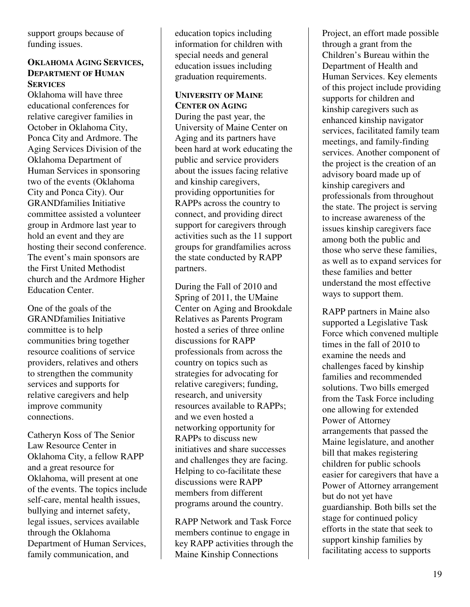support groups because of funding issues.

#### **OKLAHOMA AGING SERVICES, DEPARTMENT OF HUMAN SERVICES**

Oklahoma will have three educational conferences for relative caregiver families in October in Oklahoma City, Ponca City and Ardmore. The Aging Services Division of the Oklahoma Department of Human Services in sponsoring two of the events (Oklahoma City and Ponca City). Our GRANDfamilies Initiative committee assisted a volunteer group in Ardmore last year to hold an event and they are hosting their second conference. The event's main sponsors are the First United Methodist church and the Ardmore Higher Education Center.

One of the goals of the GRANDfamilies Initiative committee is to help communities bring together resource coalitions of service providers, relatives and others to strengthen the community services and supports for relative caregivers and help improve community connections.

Catheryn Koss of The Senior Law Resource Center in Oklahoma City, a fellow RAPP and a great resource for Oklahoma, will present at one of the events. The topics include self-care, mental health issues, bullying and internet safety, legal issues, services available through the Oklahoma Department of Human Services, family communication, and

education topics including information for children with special needs and general education issues including graduation requirements.

## **UNIVERSITY OF MAINE CENTER ON AGING**

During the past year, the University of Maine Center on Aging and its partners have been hard at work educating the public and service providers about the issues facing relative and kinship caregivers, providing opportunities for RAPPs across the country to connect, and providing direct support for caregivers through activities such as the 11 support groups for grandfamilies across the state conducted by RAPP partners.

During the Fall of 2010 and Spring of 2011, the UMaine Center on Aging and Brookdale Relatives as Parents Program hosted a series of three online discussions for RAPP professionals from across the country on topics such as strategies for advocating for relative caregivers; funding, research, and university resources available to RAPPs; and we even hosted a networking opportunity for RAPPs to discuss new initiatives and share successes and challenges they are facing. Helping to co-facilitate these discussions were RAPP members from different programs around the country.

RAPP Network and Task Force members continue to engage in key RAPP activities through the Maine Kinship Connections

Project, an effort made possible through a grant from the Children's Bureau within the Department of Health and Human Services. Key elements of this project include providing supports for children and kinship caregivers such as enhanced kinship navigator services, facilitated family team meetings, and family-finding services. Another component of the project is the creation of an advisory board made up of kinship caregivers and professionals from throughout the state. The project is serving to increase awareness of the issues kinship caregivers face among both the public and those who serve these families, as well as to expand services for these families and better understand the most effective ways to support them.

RAPP partners in Maine also supported a Legislative Task Force which convened multiple times in the fall of 2010 to examine the needs and challenges faced by kinship families and recommended solutions. Two bills emerged from the Task Force including one allowing for extended Power of Attorney arrangements that passed the Maine legislature, and another bill that makes registering children for public schools easier for caregivers that have a Power of Attorney arrangement but do not yet have guardianship. Both bills set the stage for continued policy efforts in the state that seek to support kinship families by facilitating access to supports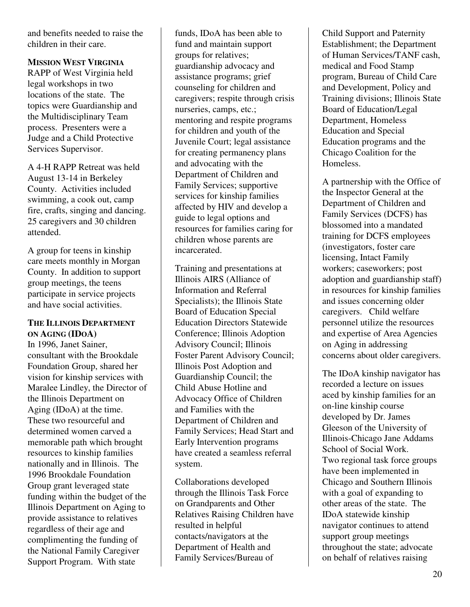and benefits needed to raise the children in their care.

**MISSION WEST VIRGINIA** RAPP of West Virginia held legal workshops in two locations of the state. The topics were Guardianship and the Multidisciplinary Team process. Presenters were a Judge and a Child Protective Services Supervisor.

A 4-H RAPP Retreat was held August 13-14 in Berkeley County. Activities included swimming, a cook out, camp fire, crafts, singing and dancing. 25 caregivers and 30 children attended.

A group for teens in kinship care meets monthly in Morgan County. In addition to support group meetings, the teens participate in service projects and have social activities.

## **THE ILLINOIS DEPARTMENT ON AGING (IDOA)**

In 1996, Janet Sainer, consultant with the Brookdale Foundation Group, shared her vision for kinship services with Maralee Lindley, the Director of the Illinois Department on Aging (IDoA) at the time. These two resourceful and determined women carved a memorable path which brought resources to kinship families nationally and in Illinois. The 1996 Brookdale Foundation Group grant leveraged state funding within the budget of the Illinois Department on Aging to provide assistance to relatives regardless of their age and complimenting the funding of the National Family Caregiver Support Program. With state

funds, IDoA has been able to fund and maintain support groups for relatives; guardianship advocacy and assistance programs; grief counseling for children and caregivers; respite through crisis nurseries, camps, etc.; mentoring and respite programs for children and youth of the Juvenile Court; legal assistance for creating permanency plans and advocating with the Department of Children and Family Services; supportive services for kinship families affected by HIV and develop a guide to legal options and resources for families caring for children whose parents are incarcerated.

Training and presentations at Illinois AIRS (Alliance of Information and Referral Specialists); the Illinois State Board of Education Special Education Directors Statewide Conference; Illinois Adoption Advisory Council; Illinois Foster Parent Advisory Council; Illinois Post Adoption and Guardianship Council; the Child Abuse Hotline and Advocacy Office of Children and Families with the Department of Children and Family Services; Head Start and Early Intervention programs have created a seamless referral system.

Collaborations developed through the Illinois Task Force on Grandparents and Other Relatives Raising Children have resulted in helpful contacts/navigators at the Department of Health and Family Services/Bureau of

Child Support and Paternity Establishment; the Department of Human Services/TANF cash, medical and Food Stamp program, Bureau of Child Care and Development, Policy and Training divisions; Illinois State Board of Education/Legal Department, Homeless Education and Special Education programs and the Chicago Coalition for the Homeless.

A partnership with the Office of the Inspector General at the Department of Children and Family Services (DCFS) has blossomed into a mandated training for DCFS employees (investigators, foster care licensing, Intact Family workers; caseworkers; post adoption and guardianship staff) in resources for kinship families and issues concerning older caregivers. Child welfare personnel utilize the resources and expertise of Area Agencies on Aging in addressing concerns about older caregivers.

The IDoA kinship navigator has recorded a lecture on issues aced by kinship families for an on-line kinship course developed by Dr. James Gleeson of the University of Illinois-Chicago Jane Addams School of Social Work. Two regional task force groups have been implemented in Chicago and Southern Illinois with a goal of expanding to other areas of the state. The IDoA statewide kinship navigator continues to attend support group meetings throughout the state; advocate on behalf of relatives raising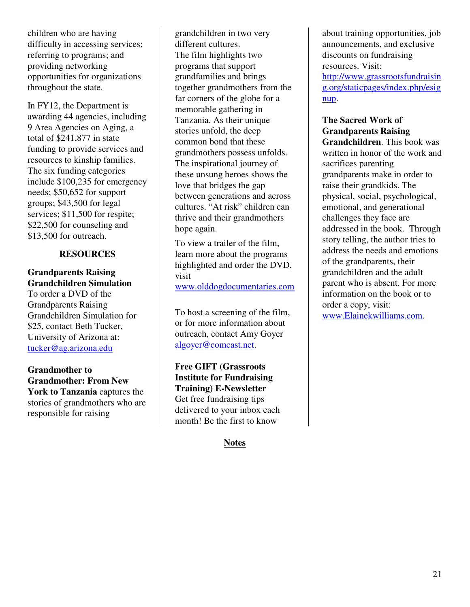children who are having difficulty in accessing services; referring to programs; and providing networking opportunities for organizations throughout the state.

In FY12, the Department is awarding 44 agencies, including 9 Area Agencies on Aging, a total of \$241,877 in state funding to provide services and resources to kinship families. The six funding categories include \$100,235 for emergency needs; \$50,652 for support groups; \$43,500 for legal services; \$11,500 for respite; \$22,500 for counseling and \$13,500 for outreach.

#### **RESOURCES**

## **Grandparents Raising Grandchildren Simulation**

To order a DVD of the Grandparents Raising Grandchildren Simulation for \$25, contact Beth Tucker, University of Arizona at: tucker@ag.arizona.edu

## **Grandmother to Grandmother: From New York to Tanzania** captures the stories of grandmothers who are responsible for raising

grandchildren in two very different cultures. The film highlights two programs that support grandfamilies and brings together grandmothers from the far corners of the globe for a memorable gathering in Tanzania. As their unique stories unfold, the deep common bond that these grandmothers possess unfolds. The inspirational journey of these unsung heroes shows the love that bridges the gap between generations and across cultures. "At risk" children can thrive and their grandmothers hope again.

To view a trailer of the film, learn more about the programs highlighted and order the DVD, visit www.olddogdocumentaries.com

To host a screening of the film, or for more information about outreach, contact Amy Goyer algoyer@comcast.net.

**Free GIFT (Grassroots Institute for Fundraising Training) E-Newsletter**  Get free fundraising tips delivered to your inbox each month! Be the first to know

## **Notes**

about training opportunities, job announcements, and exclusive discounts on fundraising resources. Visit:

http://www.grassrootsfundraisin g.org/staticpages/index.php/esig nup.

#### **The Sacred Work of Grandparents Raising**

**Grandchildren**. This book was written in honor of the work and sacrifices parenting grandparents make in order to raise their grandkids. The physical, social, psychological, emotional, and generational challenges they face are addressed in the book. Through story telling, the author tries to address the needs and emotions of the grandparents, their grandchildren and the adult parent who is absent. For more information on the book or to order a copy, visit: www.Elainekwilliams.com.